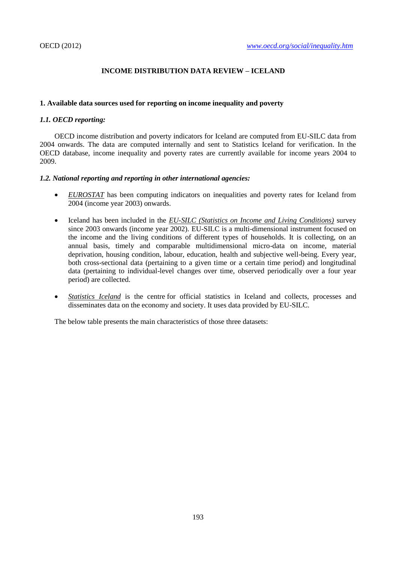# **INCOME DISTRIBUTION DATA REVIEW – ICELAND**

## **1. Available data sources used for reporting on income inequality and poverty**

## *1.1. OECD reporting:*

OECD income distribution and poverty indicators for Iceland are computed from EU-SILC data from 2004 onwards. The data are computed internally and sent to Statistics Iceland for verification. In the OECD database, income inequality and poverty rates are currently available for income years 2004 to 2009.

## *1.2. National reporting and reporting in other international agencies:*

- *EUROSTAT* has been computing indicators on inequalities and poverty rates for Iceland from 2004 (income year 2003) onwards.
- Iceland has been included in the *EU-SILC (Statistics on Income and Living Conditions)* survey since 2003 onwards (income year 2002). EU-SILC is a multi-dimensional instrument focused on the income and the living conditions of different types of households. It is collecting, on an annual basis, timely and comparable multidimensional micro-data on income, material deprivation, housing condition, labour, education, health and subjective well-being. Every year, both cross-sectional data (pertaining to a given time or a certain time period) and longitudinal data (pertaining to individual-level changes over time, observed periodically over a four year period) are collected.
- *Statistics Iceland* is the centre for official statistics in Iceland and collects, processes and disseminates data on the economy and society. It uses data provided by EU-SILC.

The below table presents the main characteristics of those three datasets: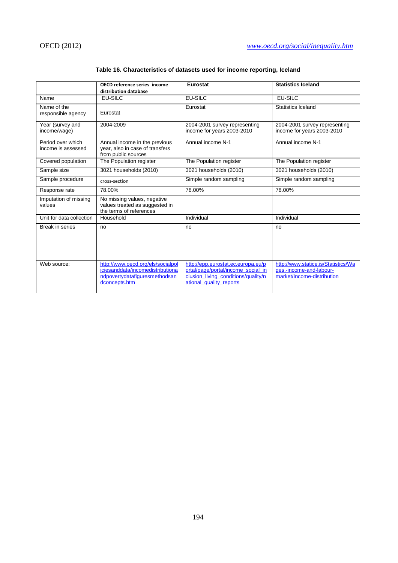|                                         | OECD reference series income<br>distribution database                                                                   | Eurostat                                                                                                                                   | <b>Statistics Iceland</b>                                                                    |  |
|-----------------------------------------|-------------------------------------------------------------------------------------------------------------------------|--------------------------------------------------------------------------------------------------------------------------------------------|----------------------------------------------------------------------------------------------|--|
| Name                                    | EU-SILC                                                                                                                 | <b>EU-SILC</b>                                                                                                                             | <b>EU-SILC</b>                                                                               |  |
| Name of the<br>responsible agency       | Eurostat                                                                                                                | Eurostat                                                                                                                                   | Statistics Iceland                                                                           |  |
| Year (survey and<br>income/wage)        | 2004-2009                                                                                                               | 2004-2001 survey representing<br>income for years 2003-2010                                                                                | 2004-2001 survey representing<br>income for years 2003-2010                                  |  |
| Period over which<br>income is assessed | Annual income in the previous<br>year, also in case of transfers<br>from public sources                                 | Annual income N-1                                                                                                                          | Annual income N-1                                                                            |  |
| Covered population                      | The Population register                                                                                                 | The Population register                                                                                                                    | The Population register                                                                      |  |
| Sample size                             | 3021 households (2010)                                                                                                  | 3021 households (2010)                                                                                                                     | 3021 households (2010)                                                                       |  |
| Sample procedure                        | cross-section                                                                                                           | Simple random sampling                                                                                                                     | Simple random sampling                                                                       |  |
| Response rate                           | 78.00%                                                                                                                  | 78.00%                                                                                                                                     | 78.00%                                                                                       |  |
| Imputation of missing<br>values         | No missing values, negative<br>values treated as suggested in<br>the terms of references                                |                                                                                                                                            |                                                                                              |  |
| Unit for data collection                | Household                                                                                                               | Individual                                                                                                                                 | Individual                                                                                   |  |
| Break in series                         | no                                                                                                                      | no                                                                                                                                         | no                                                                                           |  |
| Web source:                             | http://www.oecd.org/els/socialpol<br>iciesanddata/incomedistributiona<br>ndpovertydatafiguresmethodsan<br>dconcepts.htm | http://epp.eurostat.ec.europa.eu/p<br>ortal/page/portal/income social in<br>clusion living conditions/quality/n<br>ational quality reports | http://www.statice.is/Statistics/Wa<br>ges,-income-and-labour-<br>market/Income-distribution |  |

## **Table 16. Characteristics of datasets used for income reporting, Iceland**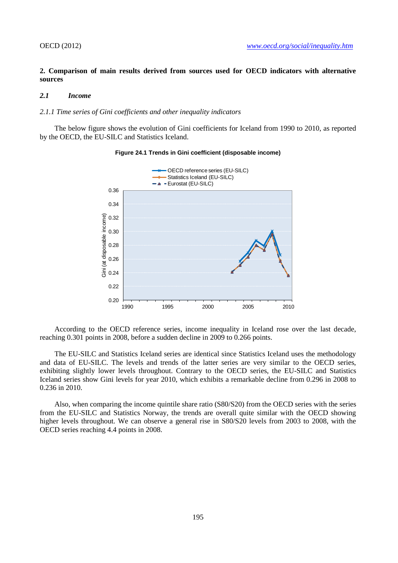## **2. Comparison of main results derived from sources used for OECD indicators with alternative sources**

### *2.1 Income*

#### *2.1.1 Time series of Gini coefficients and other inequality indicators*

The below figure shows the evolution of Gini coefficients for Iceland from 1990 to 2010, as reported by the OECD, the EU-SILC and Statistics Iceland.



### **Figure 24.1 Trends in Gini coefficient (disposable income)**

According to the OECD reference series, income inequality in Iceland rose over the last decade, reaching 0.301 points in 2008, before a sudden decline in 2009 to 0.266 points.

The EU-SILC and Statistics Iceland series are identical since Statistics Iceland uses the methodology and data of EU-SILC. The levels and trends of the latter series are very similar to the OECD series, exhibiting slightly lower levels throughout. Contrary to the OECD series, the EU-SILC and Statistics Iceland series show Gini levels for year 2010, which exhibits a remarkable decline from 0.296 in 2008 to 0.236 in 2010.

Also, when comparing the income quintile share ratio (S80/S20) from the OECD series with the series from the EU-SILC and Statistics Norway, the trends are overall quite similar with the OECD showing higher levels throughout. We can observe a general rise in S80/S20 levels from 2003 to 2008, with the OECD series reaching 4.4 points in 2008.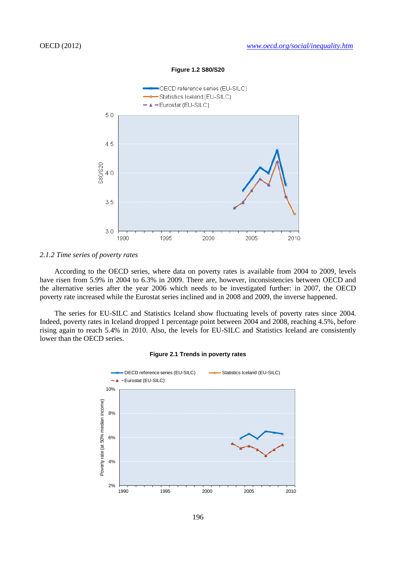

#### **Figure 1.2 S80/S20**

#### *2.1.2 Time series of poverty rates*

According to the OECD series, where data on poverty rates is available from 2004 to 2009, levels have risen from 5.9% in 2004 to 6.3% in 2009. There are, however, inconsistencies between OECD and the alternative series after the year 2006 which needs to be investigated further: in 2007, the OECD poverty rate increased while the Eurostat series inclined and in 2008 and 2009, the inverse happened.

The series for EU-SILC and Statistics Iceland show fluctuating levels of poverty rates since 2004. Indeed, poverty rates in Iceland dropped 1 percentage point between 2004 and 2008, reaching 4.5%, before rising again to reach 5.4% in 2010. Also, the levels for EU-SILC and Statistics Iceland are consistently lower than the OECD series.

#### **Figure 2.1 Trends in poverty rates**

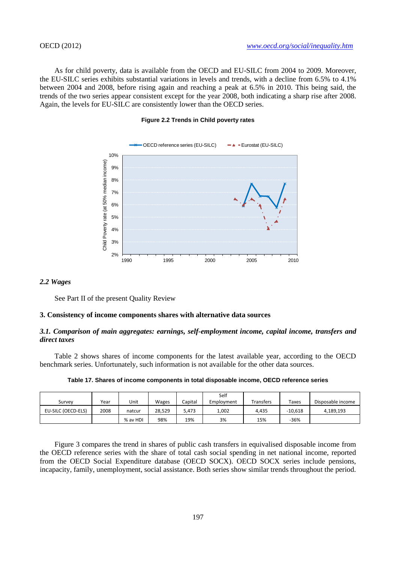As for child poverty, data is available from the OECD and EU-SILC from 2004 to 2009. Moreover, the EU-SILC series exhibits substantial variations in levels and trends, with a decline from 6.5% to 4.1% between 2004 and 2008, before rising again and reaching a peak at 6.5% in 2010. This being said, the trends of the two series appear consistent except for the year 2008, both indicating a sharp rise after 2008. Again, the levels for EU-SILC are consistently lower than the OECD series.

## **Figure 2.2 Trends in Child poverty rates**



#### *2.2 Wages*

See Part II of the present Quality Review

#### **3. Consistency of income components shares with alternative data sources**

### *3.1. Comparison of main aggregates: earnings, self-employment income, capital income, transfers and direct taxes*

Table 2 shows shares of income components for the latest available year, according to the OECD benchmark series. Unfortunately, such information is not available for the other data sources.

| Survey             | Year | Unit     | Wages  | Capital | Self<br>Employment | Transfers | Taxes     | Disposable income |
|--------------------|------|----------|--------|---------|--------------------|-----------|-----------|-------------------|
| EU-SILC (OECD-ELS) | 2008 | natcur   | 28.529 | 5.473   | 1,002              | 4.435     | $-10.618$ | 4.189.193         |
|                    |      | % av HDI | 98%    | 19%     | 3%                 | 15%       | $-36%$    |                   |

**Table 17. Shares of income components in total disposable income, OECD reference series**

Figure 3 compares the trend in shares of public cash transfers in equivalised disposable income from the OECD reference series with the share of total cash social spending in net national income, reported from the OECD Social Expenditure database (OECD SOCX). OECD SOCX series include pensions, incapacity, family, unemployment, social assistance. Both series show similar trends throughout the period.